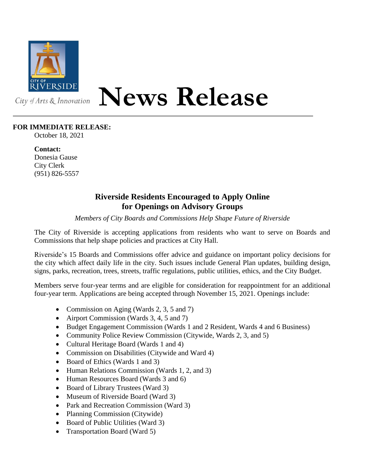

## **News Release**

## **FOR IMMEDIATE RELEASE:**

October 18, 2021

**Contact:** Donesia Gause City Clerk (951) 826-5557

## **Riverside Residents Encouraged to Apply Online for Openings on Advisory Groups**

*Members of City Boards and Commissions Help Shape Future of Riverside*

The City of Riverside is accepting applications from residents who want to serve on Boards and Commissions that help shape policies and practices at City Hall.

Riverside's 15 Boards and Commissions offer advice and guidance on important policy decisions for the city which affect daily life in the city. Such issues include General Plan updates, building design, signs, parks, recreation, trees, streets, traffic regulations, public utilities, ethics, and the City Budget.

Members serve four-year terms and are eligible for consideration for reappointment for an additional four-year term. Applications are being accepted through November 15, 2021. Openings include:

- Commission on Aging (Wards 2, 3, 5 and 7)
- Airport Commission (Wards 3, 4, 5 and 7)
- Budget Engagement Commission (Wards 1 and 2 Resident, Wards 4 and 6 Business)
- Community Police Review Commission (Citywide, Wards 2, 3, and 5)
- Cultural Heritage Board (Wards 1 and 4)
- Commission on Disabilities (Citywide and Ward 4)
- Board of Ethics (Wards 1 and 3)
- Human Relations Commission (Wards 1, 2, and 3)
- Human Resources Board (Wards 3 and 6)
- Board of Library Trustees (Ward 3)
- Museum of Riverside Board (Ward 3)
- Park and Recreation Commission (Ward 3)
- Planning Commission (Citywide)
- Board of Public Utilities (Ward 3)
- Transportation Board (Ward 5)